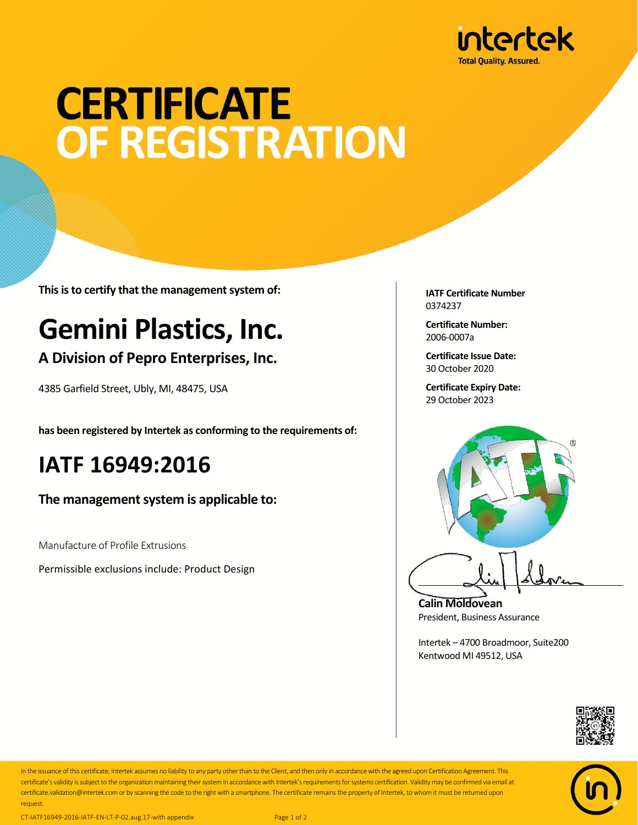

# **CERTIFICATE** OF REGISTRATION

**This is to certify that the management system of:**

## **Gemini Plastics, Inc.**

#### **A Division of Pepro Enterprises, Inc.**

4385 Garfield Street, Ubly, MI, 48475, USA

**has been registered by Intertek as conforming to the requirements of:**

### **IATF 16949:2016**

**The management system is applicable to:**

Manufacture of Profile Extrusions

Permissible exclusions include: Product Design

**IATF Certificate Number** 0374237

**Certificate Number:** 2006-0007a

**Certificate Issue Date:** 30 October 2020

**Certificate Expiry Date:** 29 October 2023



**Calin Moldovean** President, Business Assurance

Intertek – 4700 Broadmoor, Suite200 Kentwood MI 49512, USA





In the issuance of this certificate, Intertek assumes no liability to any party other than to the Client, and then only in accordance with the agreed upon Certification Agreement. This certificate's validity is subject to the organization maintaining their system in accordance with Intertek's requirements for systems certification. Validity may be confirmed via email at certificate.validation@intertek.com or by scanning the code to the right with a smartphone. The certificate remains the property of Intertek, to whom it must be returned upon request.